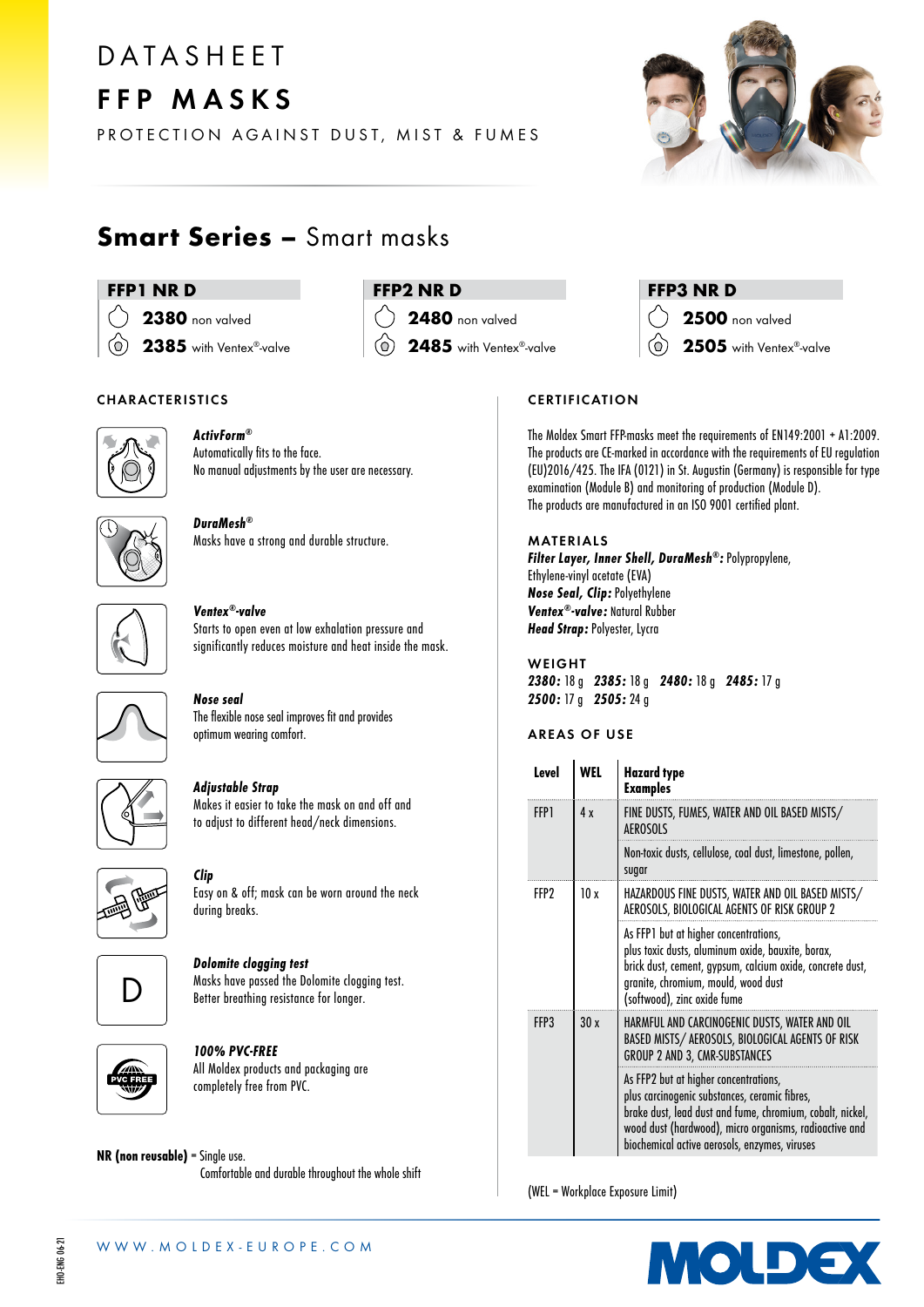# D A T A S H F F T FFP MASKS

PROTECTION AGAINST DUST, MIST & FUMES



# Smart Series – Smart masks

# FFP1 NR D

# **2380** non valved

 $\circlearrowleft$ 2385 with Ventex®-valve

# CHARACTERISTICS



# ActivForm® Automatically fits to the face. No manual adjustments by the user are necessary.



# DuraMesh® Masks have a strong and durable structure.



# Ventex®-valve Starts to open even at low exhalation pressure and significantly reduces moisture and heat inside the mask.



# Nose seal The flexible nose seal improves fit and provides

optimum wearing comfort.



# Adjustable Strap

Makes it easier to take the mask on and off and to adjust to different head/neck dimensions.



# Clip

Easy on & off; mask can be worn around the neck during breaks.



# Dolomite clogging test

Masks have passed the Dolomite clogging test. Better breathing resistance for longer.



# 100% PVC-FREE

All Moldex products and packaging are completely free from PVC.

## NR (non reusable) = Single use. Comfortable and durable throughout the whole shift



2480 non valved

 $\circlearrowright$ 2485 with Ventex®-valve

# FFP3 NR D

- 2500 non valved
	- 2505 with Ventex®-valve

# **CERTIFICATION**

The Moldex Smart FFP-masks meet the requirements of EN149:2001 + A1:2009. The products are CE-marked in accordance with the requirements of EU regulation (EU)2016/425. The IFA (0121) in St. Augustin (Germany) is responsible for type examination (Module B) and monitoring of production (Module D). The products are manufactured in an ISO 9001 certified plant.

### MATERIALS Filter Layer, Inner Shell, DuraMesh®: Polypropylene, Ethylene-vinyl acetate (EVA) Nose Seal, Clip: Polyethylene Ventex®-valve: Natural Rubber Head Strap: Polyester, Lycra

WEIGHT 2380: 18 g 2385: 18 g 2480: 18 g 2485: 17 g 2500: 17 g 2505: 24 g

# AREAS OF USE

| Level | WEL | <b>Hazard</b> type<br><b>Examples</b>                                                                                                                                                                                                                          |
|-------|-----|----------------------------------------------------------------------------------------------------------------------------------------------------------------------------------------------------------------------------------------------------------------|
| FFP1  | 4 x | FINE DUSTS, FUMES, WATER AND OIL BASED MISTS/<br><b>AFROSOLS</b>                                                                                                                                                                                               |
|       |     | Non-toxic dusts, cellulose, coal dust, limestone, pollen,<br>sugar                                                                                                                                                                                             |
| FFP?  | 10x | HAZARDOUS FINE DUSTS, WATER AND OIL BASED MISTS/<br>AEROSOLS, BIOLOGICAL AGENTS OF RISK GROUP 2                                                                                                                                                                |
|       |     | As FFP1 but at higher concentrations,<br>plus toxic dusts, aluminum oxide, bauxite, borax,<br>brick dust, cement, gypsum, calcium oxide, concrete dust,<br>granite, chromium, mould, wood dust<br>(softwood), zinc oxide fume                                  |
| FFP3  | 30x | HARMFUL AND CARCINOGENIC DUSTS, WATER AND OIL<br>BASED MISTS/ AEROSOLS, BIOLOGICAL AGENTS OF RISK<br>GROUP 2 AND 3, CMR-SUBSTANCES                                                                                                                             |
|       |     | As FFP2 but at higher concentrations,<br>plus carcinogenic substances, ceramic fibres,<br>brake dust, lead dust and fume, chromium, cobalt, nickel,<br>wood dust (hardwood), micro organisms, radioactive and<br>biochemical active aerosols, enzymes, viruses |

(WEL = Workplace Exposure Limit)